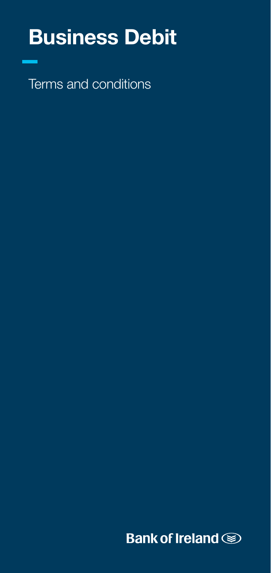# Business Debit

Terms and conditions

**Bank of Ireland Some**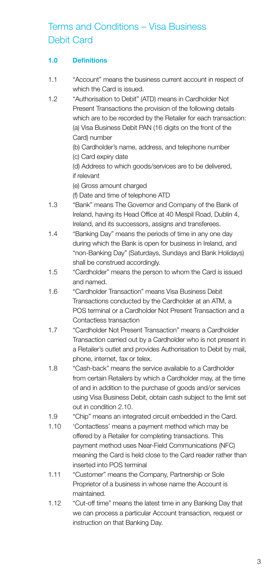# Terms and Conditions – Visa Business Debit Card

# 1.0 Definitions

- 1.1 "Account" means the business current account in respect of which the Card is issued.
- 1.2 "Authorisation to Debit" (ATD) means in Cardholder Not Present Transactions the provision of the following details which are to be recorded by the Retailer for each transaction: (a) Visa Business Debit PAN (16 digits on the front of the Card) number

(b) Cardholder's name, address, and telephone number (c) Card expiry date

(d) Address to which goods/services are to be delivered, if relevant

(e) Gross amount charged

(f) Date and time of telephone ATD

- 1.3 "Bank" means The Governor and Company of the Bank of Ireland, having its Head Office at 40 Mespil Road, Dublin 4, Ireland, and its successors, assigns and transferees.
- 1.4 "Banking Day" means the periods of time in any one day during which the Bank is open for business in Ireland, and "non-Banking Day" (Saturdays, Sundays and Bank Holidays) shall be construed accordingly.
- 1.5 "Cardholder" means the person to whom the Card is issued and named.
- 1.6 "Cardholder Transaction" means Visa Business Debit Transactions conducted by the Cardholder at an ATM, a POS terminal or a Cardholder Not Present Transaction and a Contactless transaction
- 1.7 "Cardholder Not Present Transaction" means a Cardholder Transaction carried out by a Cardholder who is not present in a Retailer's outlet and provides Authorisation to Debit by mail, phone, internet, fax or telex.
- 1.8 "Cash-back" means the service available to a Cardholder from certain Retailers by which a Cardholder may, at the time of and in addition to the purchase of goods and/or services using Visa Business Debit, obtain cash subject to the limit set out in condition 2.10.
- 1.9 "Chip" means an integrated circuit embedded in the Card.
- 1.10 'Contactless' means a payment method which may be offered by a Retailer for completing transactions. This payment method uses Near-Field Communications (NFC) meaning the Card is held close to the Card reader rather than inserted into POS terminal
- 1.11 "Customer" means the Company, Partnership or Sole Proprietor of a business in whose name the Account is maintained.
- 1.12 "Cut-off time" means the latest time in any Banking Day that we can process a particular Account transaction, request or instruction on that Banking Day.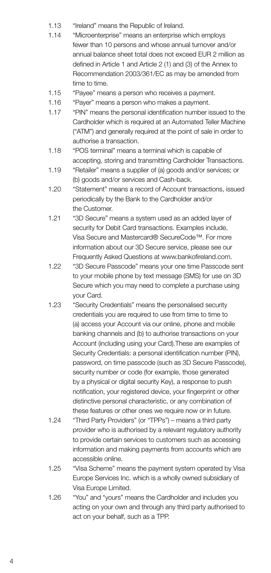- 1.13 "Ireland" means the Republic of Ireland.
- 1.14 "Microenterprise" means an enterprise which employs fewer than 10 persons and whose annual turnover and/or annual balance sheet total does not exceed EUR 2 million as defined in Article 1 and Article 2 (1) and (3) of the Annex to Recommendation 2003/361/EC as may be amended from time to time.
- 1.15 "Payee" means a person who receives a payment.
- 1.16 "Payer" means a person who makes a payment.
- 1.17 "PIN" means the personal identification number issued to the Cardholder which is required at an Automated Teller Machine ("ATM") and generally required at the point of sale in order to authorise a transaction.
- 1.18 "POS terminal" means a terminal which is capable of accepting, storing and transmitting Cardholder Transactions.
- 1.19 "Retailer" means a supplier of (a) goods and/or services; or (b) goods and/or services and Cash-back.
- 1.20 "Statement" means a record of Account transactions, issued periodically by the Bank to the Cardholder and/or the Customer.
- 1.21 "3D Secure" means a system used as an added layer of security for Debit Card transactions. Examples include, Visa Secure and Mastercard® SecureCode™. For more information about our 3D Secure service, please see our Frequently Asked Questions at www.bankofireland.com.
- 1.22 "3D Secure Passcode" means your one time Passcode sent to your mobile phone by text message (SMS) for use on 3D Secure which you may need to complete a purchase using your Card.
- 1.23 "Security Credentials" means the personalised security credentials you are required to use from time to time to (a) access your Account via our online, phone and mobile banking channels and (b) to authorise transactions on your Account (including using your Card).These are examples of Security Credentials: a personal identification number (PIN), password, on time passcode (such as 3D Secure Passcode), security number or code (for example, those generated by a physical or digital security Key), a response to push notification, your registered device, your fingerprint or other distinctive personal characteristic, or any combination of these features or other ones we require now or in future.
- 1.24 "Third Party Providers" (or "TPPs") means a third party provider who is authorised by a relevant regulatory authority to provide certain services to customers such as accessing information and making payments from accounts which are accessible online.
- 1.25 "Visa Scheme" means the payment system operated by Visa Europe Services Inc. which is a wholly owned subsidiary of Visa Europe Limited.
- 1.26 "You" and "yours" means the Cardholder and includes you acting on your own and through any third party authorised to act on your behalf, such as a TPP.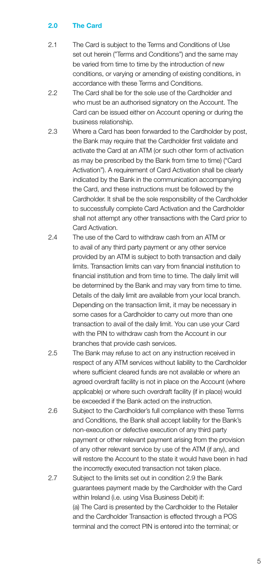# 2.0 The Card

- 2.1 The Card is subject to the Terms and Conditions of Use set out herein ("Terms and Conditions") and the same may be varied from time to time by the introduction of new conditions, or varying or amending of existing conditions, in accordance with these Terms and Conditions.
- 2.2 The Card shall be for the sole use of the Cardholder and who must be an authorised signatory on the Account. The Card can be issued either on Account opening or during the business relationship.
- 2.3 Where a Card has been forwarded to the Cardholder by post, the Bank may require that the Cardholder first validate and activate the Card at an ATM (or such other form of activation as may be prescribed by the Bank from time to time) ("Card Activation"). A requirement of Card Activation shall be clearly indicated by the Bank in the communication accompanying the Card, and these instructions must be followed by the Cardholder. It shall be the sole responsibility of the Cardholder to successfully complete Card Activation and the Cardholder shall not attempt any other transactions with the Card prior to Card Activation.
- 2.4 The use of the Card to withdraw cash from an ATM or to avail of any third party payment or any other service provided by an ATM is subject to both transaction and daily limits. Transaction limits can vary from financial institution to financial institution and from time to time. The daily limit will be determined by the Bank and may vary from time to time. Details of the daily limit are available from your local branch. Depending on the transaction limit, it may be necessary in some cases for a Cardholder to carry out more than one transaction to avail of the daily limit. You can use your Card with the PIN to withdraw cash from the Account in our branches that provide cash services.
- 2.5 The Bank may refuse to act on any instruction received in respect of any ATM services without liability to the Cardholder where sufficient cleared funds are not available or where an agreed overdraft facility is not in place on the Account (where applicable) or where such overdraft facility (if in place) would be exceeded if the Bank acted on the instruction.
- 2.6 Subject to the Cardholder's full compliance with these Terms and Conditions, the Bank shall accept liability for the Bank's non-execution or defective execution of any third party payment or other relevant payment arising from the provision of any other relevant service by use of the ATM (if any), and will restore the Account to the state it would have been in had the incorrectly executed transaction not taken place.
- 2.7 Subject to the limits set out in condition 2.9 the Bank guarantees payment made by the Cardholder with the Card within Ireland (i.e. using Visa Business Debit) if: (a) The Card is presented by the Cardholder to the Retailer and the Cardholder Transaction is effected through a POS terminal and the correct PIN is entered into the terminal; or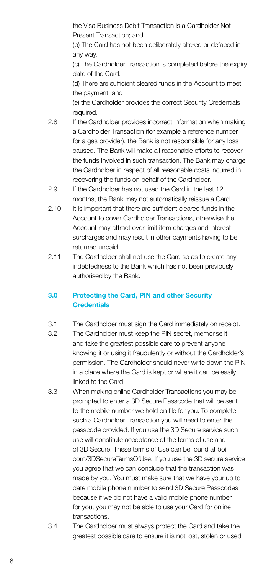the Visa Business Debit Transaction is a Cardholder Not Present Transaction; and

(b) The Card has not been deliberately altered or defaced in any way.

(c) The Cardholder Transaction is completed before the expiry date of the Card.

(d) There are sufficient cleared funds in the Account to meet the payment; and

(e) the Cardholder provides the correct Security Credentials required.

- 2.8 If the Cardholder provides incorrect information when making a Cardholder Transaction (for example a reference number for a gas provider), the Bank is not responsible for any loss caused. The Bank will make all reasonable efforts to recover the funds involved in such transaction. The Bank may charge the Cardholder in respect of all reasonable costs incurred in recovering the funds on behalf of the Cardholder.
- 2.9 If the Cardholder has not used the Card in the last 12 months, the Bank may not automatically reissue a Card.
- 2.10 It is important that there are sufficient cleared funds in the Account to cover Cardholder Transactions, otherwise the Account may attract over limit item charges and interest surcharges and may result in other payments having to be returned unpaid.
- 2.11 The Cardholder shall not use the Card so as to create any indebtedness to the Bank which has not been previously authorised by the Bank.

# 3.0 Protecting the Card, PIN and other Security **Credentials**

- 3.1 The Cardholder must sign the Card immediately on receipt.
- 3.2 The Cardholder must keep the PIN secret, memorise it and take the greatest possible care to prevent anyone knowing it or using it fraudulently or without the Cardholder's permission. The Cardholder should never write down the PIN in a place where the Card is kept or where it can be easily linked to the Card.
- 3.3 When making online Cardholder Transactions you may be prompted to enter a 3D Secure Passcode that will be sent to the mobile number we hold on file for you. To complete such a Cardholder Transaction you will need to enter the passcode provided. If you use the 3D Secure service such use will constitute acceptance of the terms of use and of 3D Secure. These terms of Use can be found at boi. com/3DSecureTermsOfUse. If you use the 3D secure service you agree that we can conclude that the transaction was made by you. You must make sure that we have your up to date mobile phone number to send 3D Secure Passcodes because if we do not have a valid mobile phone number for you, you may not be able to use your Card for online transactions.
- 3.4 The Cardholder must always protect the Card and take the greatest possible care to ensure it is not lost, stolen or used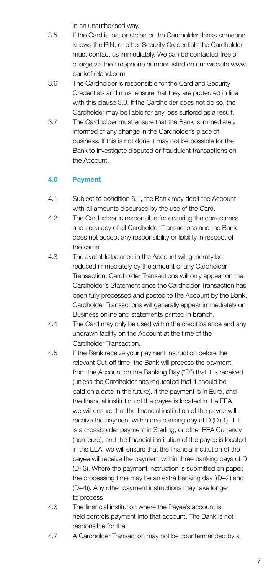in an unauthorised way.

- 3.5 If the Card is lost or stolen or the Cardholder thinks someone knows the PIN, or other Security Credentials the Cardholder must contact us immediately. We can be contacted free of charge via the Freephone number listed on our website www. bankofireland.com
- 3.6 The Cardholder is responsible for the Card and Security Credentials and must ensure that they are protected in line with this clause 3.0. If the Cardholder does not do so, the Cardholder may be liable for any loss suffered as a result.
- 3.7 The Cardholder must ensure that the Bank is immediately informed of any change in the Cardholder's place of business. If this is not done it may not be possible for the Bank to investigate disputed or fraudulent transactions on the Account.

# 4.0 Payment

- 4.1 Subject to condition 6.1, the Bank may debit the Account with all amounts disbursed by the use of the Card.
- 4.2 The Cardholder is responsible for ensuring the correctness and accuracy of all Cardholder Transactions and the Bank does not accept any responsibility or liability in respect of the same.
- 4.3 The available balance in the Account will generally be reduced immediately by the amount of any Cardholder Transaction. Cardholder Transactions will only appear on the Cardholder's Statement once the Cardholder Transaction has been fully processed and posted to the Account by the Bank. Cardholder Transactions will generally appear immediately on Business online and statements printed in branch.
- 4.4 The Card may only be used within the credit balance and any undrawn facility on the Account at the time of the Cardholder Transaction.
- 4.5 If the Bank receive your payment instruction before the relevant Cut-off time, the Bank will process the payment from the Account on the Banking Day ("D") that it is received (unless the Cardholder has requested that it should be paid on a date in the future). If the payment is in Euro, and the financial institution of the payee is located in the EEA, we will ensure that the financial institution of the payee will receive the payment within one banking day of D (D+1). If it is a crossborder payment in Sterling, or other EEA Currency (non-euro), and the financial institution of the payee is located in the EEA, we will ensure that the financial institution of the payee will receive the payment within three banking days of D (D+3). Where the payment instruction is submitted on paper, the processing time may be an extra banking day ((D+2) and (D+4)). Any other payment instructions may take longer to process
- 4.6 The financial institution where the Payee's account is held controls payment into that account. The Bank is not responsible for that.
- 4.7 A Cardholder Transaction may not be countermanded by a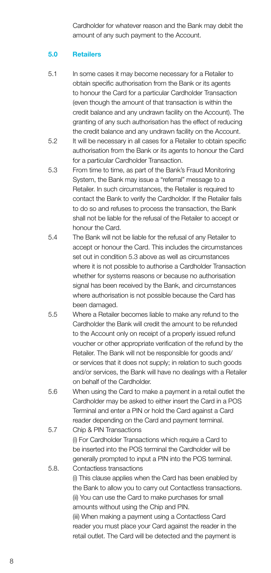Cardholder for whatever reason and the Bank may debit the amount of any such payment to the Account.

# 5.0 Retailers

- 5.1 In some cases it may become necessary for a Retailer to obtain specific authorisation from the Bank or its agents to honour the Card for a particular Cardholder Transaction (even though the amount of that transaction is within the credit balance and any undrawn facility on the Account). The granting of any such authorisation has the effect of reducing the credit balance and any undrawn facility on the Account.
- 5.2 It will be necessary in all cases for a Retailer to obtain specific authorisation from the Bank or its agents to honour the Card for a particular Cardholder Transaction.
- 5.3 From time to time, as part of the Bank's Fraud Monitoring System, the Bank may issue a "referral" message to a Retailer. In such circumstances, the Retailer is required to contact the Bank to verify the Cardholder. If the Retailer fails to do so and refuses to process the transaction, the Bank shall not be liable for the refusal of the Retailer to accept or honour the Card.
- 5.4 The Bank will not be liable for the refusal of any Retailer to accept or honour the Card. This includes the circumstances set out in condition 5.3 above as well as circumstances where it is not possible to authorise a Cardholder Transaction whether for systems reasons or because no authorisation signal has been received by the Bank, and circumstances where authorisation is not possible because the Card has been damaged.
- 5.5 Where a Retailer becomes liable to make any refund to the Cardholder the Bank will credit the amount to be refunded to the Account only on receipt of a properly issued refund voucher or other appropriate verification of the refund by the Retailer. The Bank will not be responsible for goods and/ or services that it does not supply; in relation to such goods and/or services, the Bank will have no dealings with a Retailer on behalf of the Cardholder.
- 5.6 When using the Card to make a payment in a retail outlet the Cardholder may be asked to either insert the Card in a POS Terminal and enter a PIN or hold the Card against a Card reader depending on the Card and payment terminal.
- 5.7 Chip & PIN Transactions (i) For Cardholder Transactions which require a Card to be inserted into the POS terminal the Cardholder will be generally prompted to input a PIN into the POS terminal.
- 5.8. Contactless transactions (i) This clause applies when the Card has been enabled by the Bank to allow you to carry out Contactless transactions. (ii) You can use the Card to make purchases for small amounts without using the Chip and PIN. (iii) When making a payment using a Contactless Card reader you must place your Card against the reader in the retail outlet. The Card will be detected and the payment is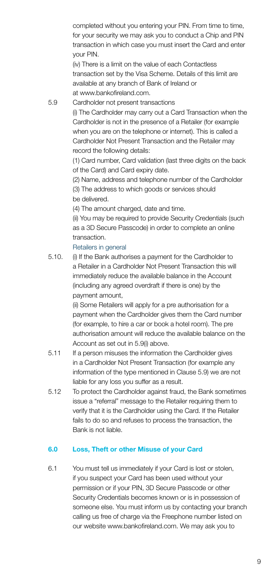completed without you entering your PIN. From time to time, for your security we may ask you to conduct a Chip and PIN transaction in which case you must insert the Card and enter your PIN.

(iv) There is a limit on the value of each Contactless transaction set by the Visa Scheme. Details of this limit are available at any branch of Bank of Ireland or at www.bankofireland.com.

5.9 Cardholder not present transactions

(i) The Cardholder may carry out a Card Transaction when the Cardholder is not in the presence of a Retailer (for example when you are on the telephone or internet). This is called a Cardholder Not Present Transaction and the Retailer may record the following details:

(1) Card number, Card validation (last three digits on the back of the Card) and Card expiry date.

(2) Name, address and telephone number of the Cardholder (3) The address to which goods or services should be delivered.

(4) The amount charged, date and time.

(ii) You may be required to provide Security Credentials (such as a 3D Secure Passcode) in order to complete an online transaction.

#### Retailers in general

5.10. (i) If the Bank authorises a payment for the Cardholder to a Retailer in a Cardholder Not Present Transaction this will immediately reduce the available balance in the Account (including any agreed overdraft if there is one) by the payment amount,

> (ii) Some Retailers will apply for a pre authorisation for a payment when the Cardholder gives them the Card number (for example, to hire a car or book a hotel room). The pre authorisation amount will reduce the available balance on the Account as set out in 5.9(i) above.

- 5.11 If a person misuses the information the Cardholder gives in a Cardholder Not Present Transaction (for example any information of the type mentioned in Clause 5.9) we are not liable for any loss you suffer as a result.
- 5.12 To protect the Cardholder against fraud, the Bank sometimes issue a "referral" message to the Retailer requiring them to verify that it is the Cardholder using the Card. If the Retailer fails to do so and refuses to process the transaction, the Bank is not liable.

# 6.0 Loss, Theft or other Misuse of your Card

6.1 You must tell us immediately if your Card is lost or stolen, if you suspect your Card has been used without your permission or if your PIN, 3D Secure Passcode or other Security Credentials becomes known or is in possession of someone else. You must inform us by contacting your branch calling us free of charge via the Freephone number listed on our website www.bankofireland.com. We may ask you to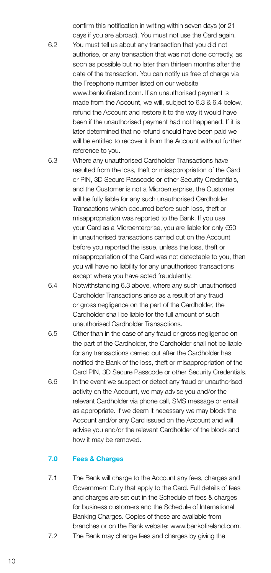confirm this notification in writing within seven days (or 21 days if you are abroad). You must not use the Card again. 6.2 You must tell us about any transaction that you did not authorise, or any transaction that was not done correctly, as soon as possible but no later than thirteen months after the date of the transaction. You can notify us free of charge via the Freephone number listed on our website www.bankofireland.com. If an unauthorised payment is made from the Account, we will, subject to 6.3 & 6.4 below, refund the Account and restore it to the way it would have been if the unauthorised payment had not happened. If it is later determined that no refund should have been paid we will be entitled to recover it from the Account without further reference to you.

- 6.3 Where any unauthorised Cardholder Transactions have resulted from the loss, theft or misappropriation of the Card or PIN, 3D Secure Passcode or other Security Credentials and the Customer is not a Microenterprise, the Customer will be fully liable for any such unauthorised Cardholder Transactions which occurred before such loss, theft or misappropriation was reported to the Bank. If you use your Card as a Microenterprise, you are liable for only €50 in unauthorised transactions carried out on the Account before you reported the issue, unless the loss, theft or misappropriation of the Card was not detectable to you, then you will have no liability for any unauthorised transactions except where you have acted fraudulently.
- 6.4 Notwithstanding 6.3 above, where any such unauthorised Cardholder Transactions arise as a result of any fraud or gross negligence on the part of the Cardholder, the Cardholder shall be liable for the full amount of such unauthorised Cardholder Transactions.
- 6.5 Other than in the case of any fraud or gross negligence on the part of the Cardholder, the Cardholder shall not be liable for any transactions carried out after the Cardholder has notified the Bank of the loss, theft or misappropriation of the Card PIN, 3D Secure Passcode or other Security Credentials.
- 6.6 In the event we suspect or detect any fraud or unauthorised activity on the Account, we may advise you and/or the relevant Cardholder via phone call, SMS message or email as appropriate. If we deem it necessary we may block the Account and/or any Card issued on the Account and will advise you and/or the relevant Cardholder of the block and how it may be removed.

# 7.0 Fees & Charges

7.1 The Bank will charge to the Account any fees, charges and Government Duty that apply to the Card. Full details of fees and charges are set out in the Schedule of fees & charges for business customers and the Schedule of International Banking Charges. Copies of these are available from branches or on the Bank website: www.bankofireland.com. 7.2 The Bank may change fees and charges by giving the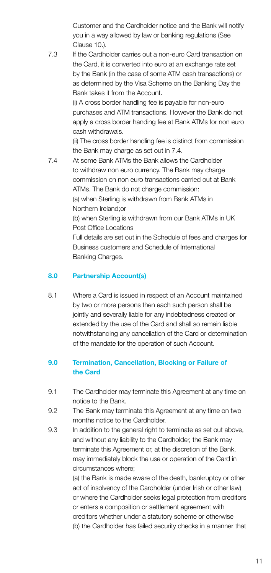Customer and the Cardholder notice and the Bank will notify you in a way allowed by law or banking regulations (See Clause 10.)

7.3 If the Cardholder carries out a non-euro Card transaction on the Card, it is converted into euro at an exchange rate set by the Bank (in the case of some ATM cash transactions) or as determined by the Visa Scheme on the Banking Day the Bank takes it from the Account.

> (i) A cross border handling fee is payable for non-euro purchases and ATM transactions. However the Bank do not apply a cross border handing fee at Bank ATMs for non euro cash withdrawals.

> (ii) The cross border handling fee is distinct from commission the Bank may charge as set out in 7.4.

7.4 At some Bank ATMs the Bank allows the Cardholder to withdraw non euro currency. The Bank may charge commission on non euro transactions carried out at Bank ATMs. The Bank do not charge commission: (a) when Sterling is withdrawn from Bank ATMs in Northern Ireland;or (b) when Sterling is withdrawn from our Bank ATMs in UK Post Office Locations Full details are set out in the Schedule of fees and charges for Business customers and Schedule of International Banking Charges.

# 8.0 Partnership Account(s)

8.1 Where a Card is issued in respect of an Account maintained by two or more persons then each such person shall be jointly and severally liable for any indebtedness created or extended by the use of the Card and shall so remain liable notwithstanding any cancellation of the Card or determination of the mandate for the operation of such Account.

# 9.0 Termination, Cancellation, Blocking or Failure of the Card

- 9.1 The Cardholder may terminate this Agreement at any time on notice to the Bank.
- 9.2 The Bank may terminate this Agreement at any time on two months notice to the Cardholder.
- 9.3 In addition to the general right to terminate as set out above, and without any liability to the Cardholder, the Bank may terminate this Agreement or, at the discretion of the Bank, may immediately block the use or operation of the Card in circumstances where;

(a) the Bank is made aware of the death, bankruptcy or other act of insolvency of the Cardholder (under Irish or other law) or where the Cardholder seeks legal protection from creditors or enters a composition or settlement agreement with creditors whether under a statutory scheme or otherwise (b) the Cardholder has failed security checks in a manner that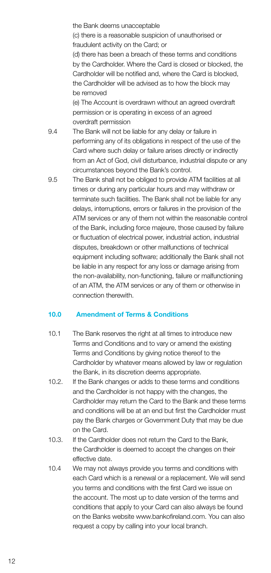the Bank deems unacceptable (c) there is a reasonable suspicion of unauthorised or fraudulent activity on the Card; or (d) there has been a breach of these terms and conditions by the Cardholder. Where the Card is closed or blocked, the Cardholder will be notified and, where the Card is blocked, the Cardholder will be advised as to how the block may be removed

(e) The Account is overdrawn without an agreed overdraft permission or is operating in excess of an agreed overdraft permission

- 9.4 The Bank will not be liable for any delay or failure in performing any of its obligations in respect of the use of the Card where such delay or failure arises directly or indirectly from an Act of God, civil disturbance, industrial dispute or any circumstances beyond the Bank's control.
- 9.5 The Bank shall not be obliged to provide ATM facilities at all times or during any particular hours and may withdraw or terminate such facilities. The Bank shall not be liable for any delays, interruptions, errors or failures in the provision of the ATM services or any of them not within the reasonable control of the Bank, including force majeure, those caused by failure or fluctuation of electrical power, industrial action, industrial disputes, breakdown or other malfunctions of technical equipment including software; additionally the Bank shall not be liable in any respect for any loss or damage arising from the non-availability, non-functioning, failure or malfunctioning of an ATM, the ATM services or any of them or otherwise in connection therewith.

# 10.0 Amendment of Terms & Conditions

- 10.1 The Bank reserves the right at all times to introduce new Terms and Conditions and to vary or amend the existing Terms and Conditions by giving notice thereof to the Cardholder by whatever means allowed by law or regulation the Bank, in its discretion deems appropriate.
- 10.2. If the Bank changes or adds to these terms and conditions and the Cardholder is not happy with the changes, the Cardholder may return the Card to the Bank and these terms and conditions will be at an end but first the Cardholder must pay the Bank charges or Government Duty that may be due on the Card.
- 10.3. If the Cardholder does not return the Card to the Bank, the Cardholder is deemed to accept the changes on their effective date.
- 10.4 We may not always provide you terms and conditions with each Card which is a renewal or a replacement. We will send you terms and conditions with the first Card we issue on the account. The most up to date version of the terms and conditions that apply to your Card can also always be found on the Banks website www.bankofireland.com. You can also request a copy by calling into your local branch.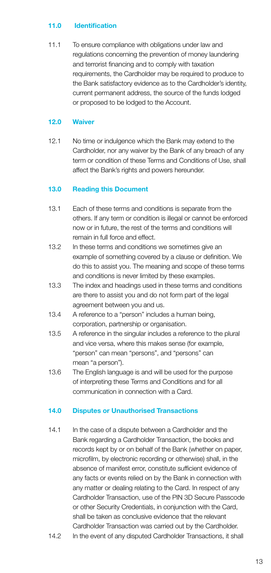#### 11.0 Identification

11.1 To ensure compliance with obligations under law and regulations concerning the prevention of money laundering and terrorist financing and to comply with taxation requirements, the Cardholder may be required to produce to the Bank satisfactory evidence as to the Cardholder's identity, current permanent address, the source of the funds lodged or proposed to be lodged to the Account.

# 12.0 Waiver

12.1 No time or indulgence which the Bank may extend to the Cardholder, nor any waiver by the Bank of any breach of any term or condition of these Terms and Conditions of Use, shall affect the Bank's rights and powers hereunder.

# 13.0 Reading this Document

- 13.1 Each of these terms and conditions is separate from the others. If any term or condition is illegal or cannot be enforced now or in future, the rest of the terms and conditions will remain in full force and effect.
- 13.2 In these terms and conditions we sometimes give an example of something covered by a clause or definition. We do this to assist you. The meaning and scope of these terms and conditions is never limited by these examples.
- 13.3 The index and headings used in these terms and conditions are there to assist you and do not form part of the legal agreement between you and us.
- 13.4 A reference to a "person" includes a human being, corporation, partnership or organisation.
- 13.5 A reference in the singular includes a reference to the plural and vice versa, where this makes sense (for example, "person" can mean "persons", and "persons" can mean "a person").
- 13.6 The English language is and will be used for the purpose of interpreting these Terms and Conditions and for all communication in connection with a Card.

# 14.0 Disputes or Unauthorised Transactions

- 14.1 In the case of a dispute between a Cardholder and the Bank regarding a Cardholder Transaction, the books and records kept by or on behalf of the Bank (whether on paper, microfilm, by electronic recording or otherwise) shall, in the absence of manifest error, constitute sufficient evidence of any facts or events relied on by the Bank in connection with any matter or dealing relating to the Card. In respect of any Cardholder Transaction, use of the PIN 3D Secure Passcode or other Security Credentials, in conjunction with the Card, shall be taken as conclusive evidence that the relevant Cardholder Transaction was carried out by the Cardholder.
- 14.2 In the event of any disputed Cardholder Transactions, it shall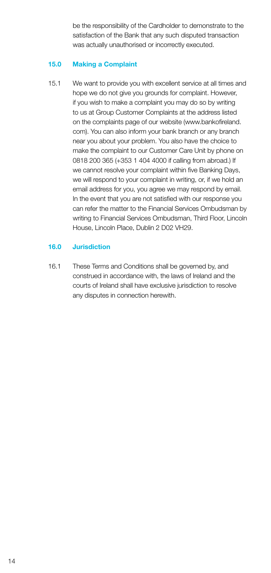be the responsibility of the Cardholder to demonstrate to the satisfaction of the Bank that any such disputed transaction was actually unauthorised or incorrectly executed.

#### 15.0 Making a Complaint

15.1 We want to provide you with excellent service at all times and hope we do not give you grounds for complaint. However, if you wish to make a complaint you may do so by writing to us at Group Customer Complaints at the address listed on the complaints page of our website (www.bankofireland. com). You can also inform your bank branch or any branch near you about your problem. You also have the choice to make the complaint to our Customer Care Unit by phone on 0818 200 365 (+353 1 404 4000 if calling from abroad.) If we cannot resolve your complaint within five Banking Days, we will respond to your complaint in writing, or, if we hold an email address for you, you agree we may respond by email. In the event that you are not satisfied with our response you can refer the matter to the Financial Services Ombudsman by writing to Financial Services Ombudsman, Third Floor, Lincoln House, Lincoln Place, Dublin 2 D02 VH29.

#### 16.0 Jurisdiction

16.1 These Terms and Conditions shall be governed by, and construed in accordance with, the laws of Ireland and the courts of Ireland shall have exclusive jurisdiction to resolve any disputes in connection herewith.